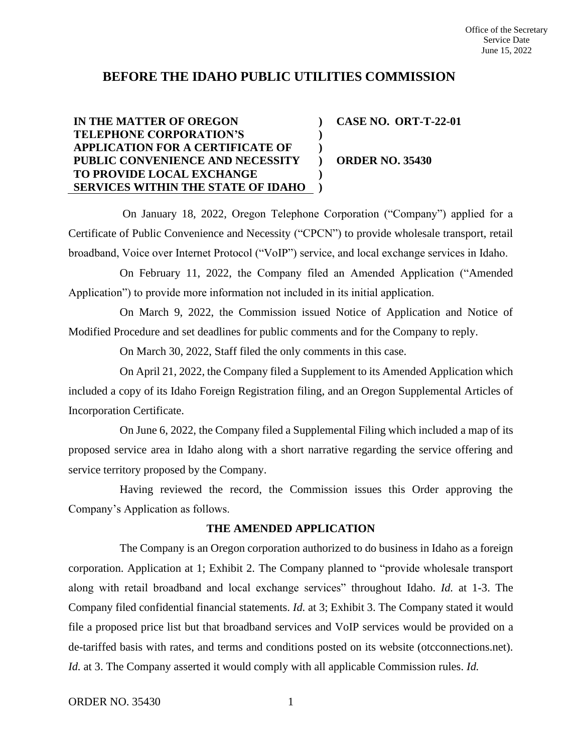# **BEFORE THE IDAHO PUBLIC UTILITIES COMMISSION**

#### **IN THE MATTER OF OREGON TELEPHONE CORPORATION'S APPLICATION FOR A CERTIFICATE OF PUBLIC CONVENIENCE AND NECESSITY TO PROVIDE LOCAL EXCHANGE SERVICES WITHIN THE STATE OF IDAHO ) ) ) ) ) ) CASE NO. ORT-T-22-01 ORDER NO. 35430**

On January 18, 2022, Oregon Telephone Corporation ("Company") applied for a Certificate of Public Convenience and Necessity ("CPCN") to provide wholesale transport, retail broadband, Voice over Internet Protocol ("VoIP") service, and local exchange services in Idaho.

On February 11, 2022, the Company filed an Amended Application ("Amended Application") to provide more information not included in its initial application.

On March 9, 2022, the Commission issued Notice of Application and Notice of Modified Procedure and set deadlines for public comments and for the Company to reply.

On March 30, 2022, Staff filed the only comments in this case.

On April 21, 2022, the Company filed a Supplement to its Amended Application which included a copy of its Idaho Foreign Registration filing, and an Oregon Supplemental Articles of Incorporation Certificate.

On June 6, 2022, the Company filed a Supplemental Filing which included a map of its proposed service area in Idaho along with a short narrative regarding the service offering and service territory proposed by the Company.

Having reviewed the record, the Commission issues this Order approving the Company's Application as follows.

# **THE AMENDED APPLICATION**

The Company is an Oregon corporation authorized to do business in Idaho as a foreign corporation. Application at 1; Exhibit 2. The Company planned to "provide wholesale transport along with retail broadband and local exchange services" throughout Idaho. *Id.* at 1-3. The Company filed confidential financial statements. *Id.* at 3; Exhibit 3. The Company stated it would file a proposed price list but that broadband services and VoIP services would be provided on a de-tariffed basis with rates, and terms and conditions posted on its website (otcconnections.net). *Id.* at 3. The Company asserted it would comply with all applicable Commission rules. *Id.*

ORDER NO. 35430 1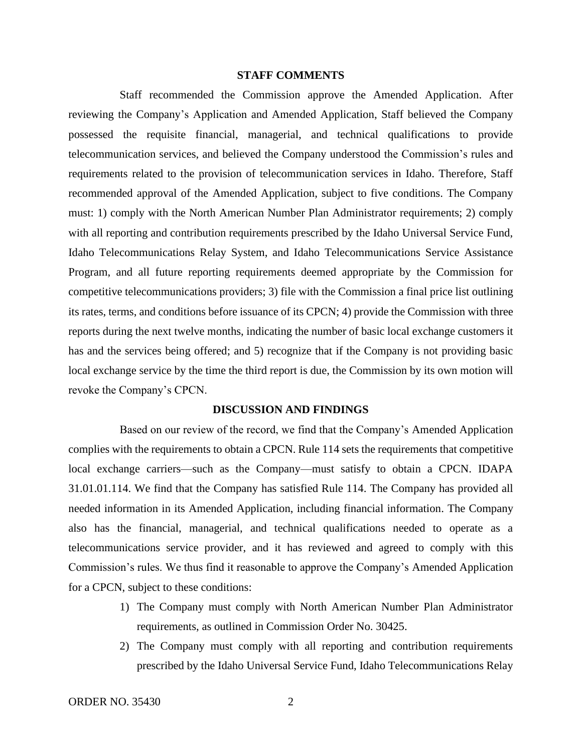### **STAFF COMMENTS**

Staff recommended the Commission approve the Amended Application. After reviewing the Company's Application and Amended Application, Staff believed the Company possessed the requisite financial, managerial, and technical qualifications to provide telecommunication services, and believed the Company understood the Commission's rules and requirements related to the provision of telecommunication services in Idaho. Therefore, Staff recommended approval of the Amended Application, subject to five conditions. The Company must: 1) comply with the North American Number Plan Administrator requirements; 2) comply with all reporting and contribution requirements prescribed by the Idaho Universal Service Fund, Idaho Telecommunications Relay System, and Idaho Telecommunications Service Assistance Program, and all future reporting requirements deemed appropriate by the Commission for competitive telecommunications providers; 3) file with the Commission a final price list outlining its rates, terms, and conditions before issuance of its CPCN; 4) provide the Commission with three reports during the next twelve months, indicating the number of basic local exchange customers it has and the services being offered; and 5) recognize that if the Company is not providing basic local exchange service by the time the third report is due, the Commission by its own motion will revoke the Company's CPCN.

### **DISCUSSION AND FINDINGS**

Based on our review of the record, we find that the Company's Amended Application complies with the requirements to obtain a CPCN. Rule 114 sets the requirements that competitive local exchange carriers—such as the Company—must satisfy to obtain a CPCN. IDAPA 31.01.01.114. We find that the Company has satisfied Rule 114. The Company has provided all needed information in its Amended Application, including financial information. The Company also has the financial, managerial, and technical qualifications needed to operate as a telecommunications service provider, and it has reviewed and agreed to comply with this Commission's rules. We thus find it reasonable to approve the Company's Amended Application for a CPCN, subject to these conditions:

- 1) The Company must comply with North American Number Plan Administrator requirements, as outlined in Commission Order No. 30425.
- 2) The Company must comply with all reporting and contribution requirements prescribed by the Idaho Universal Service Fund, Idaho Telecommunications Relay

ORDER NO. 35430 2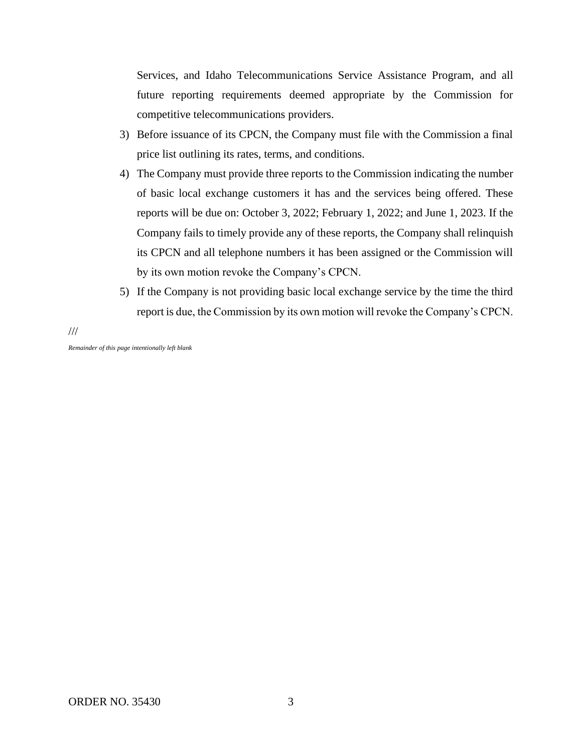Services, and Idaho Telecommunications Service Assistance Program, and all future reporting requirements deemed appropriate by the Commission for competitive telecommunications providers.

- 3) Before issuance of its CPCN, the Company must file with the Commission a final price list outlining its rates, terms, and conditions.
- 4) The Company must provide three reports to the Commission indicating the number of basic local exchange customers it has and the services being offered. These reports will be due on: October 3, 2022; February 1, 2022; and June 1, 2023. If the Company fails to timely provide any of these reports, the Company shall relinquish its CPCN and all telephone numbers it has been assigned or the Commission will by its own motion revoke the Company's CPCN.
- 5) If the Company is not providing basic local exchange service by the time the third report is due, the Commission by its own motion will revoke the Company's CPCN.

///

*Remainder of this page intentionally left blank*